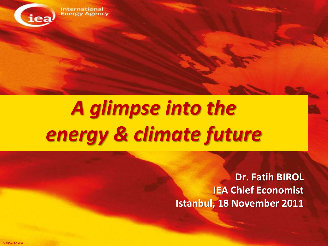

#### **International Energy Agency**

# *A glimpse into the energy & climate future*

**Dr. Fatih BIROL IEA Chief Economist Istanbul, 18 November 2011**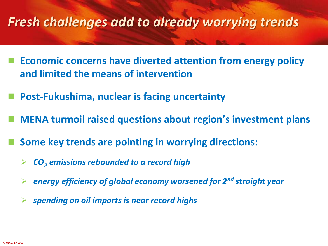#### *Fresh challenges add to already worrying trends*

- **Economic concerns have diverted attention from energy policy and limited the means of intervention**
- **Post-Fukushima, nuclear is facing uncertainty**
- **MENA turmoil raised questions about region's investment plans**
- **Some key trends are pointing in worrying directions:**
	- *CO<sup>2</sup> emissions rebounded to a record high*
	- *energy efficiency of global economy worsened for 2nd straight year*
	- *spending on oil imports is near record highs*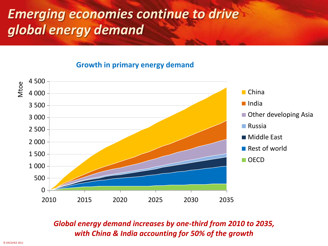### *Emerging economies continue to drive global energy demand*

#### **Growth in primary energy demand**



#### *Global energy demand increases by one-third from 2010 to 2035, with China & India accounting for 50% of the growth*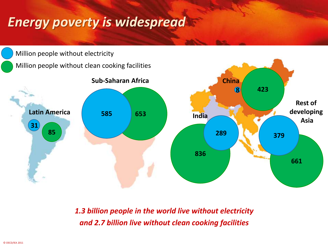### *Energy poverty is widespread*



*1.3 billion people in the world live without electricity and 2.7 billion live without clean cooking facilities*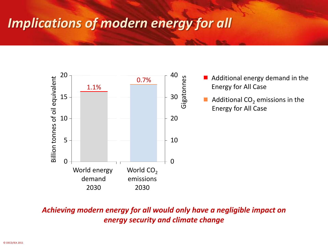### *Implications of modern energy for all*



*Achieving modern energy for all would only have a negligible impact on energy security and climate change*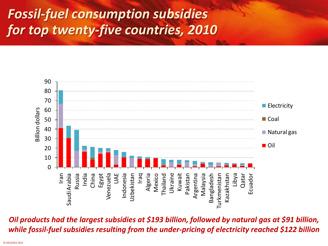### *Fossil-fuel consumption subsidies for top twenty-five countries, 2010*



*Oil products had the largest subsidies at \$193 billion, followed by natural gas at \$91 billion, while fossil-fuel subsidies resulting from the under-pricing of electricity reached \$122 billion*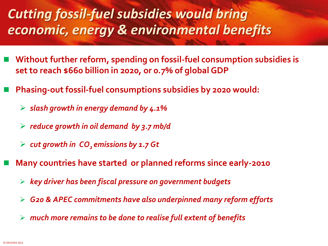### *Cutting fossil-fuel subsidies would bring economic, energy & environmental benefits*

- **Without further reform, spending on fossil-fuel consumption subsidies is set to reach \$660 billion in 2020, or 0.7% of global GDP**
- **Phasing-out fossil-fuel consumptions subsidies by 2020 would:**
	- *slash growth in energy demand by 4.1%*
	- *reduce growth in oil demand by 3.7 mb/d*
	- *cut growth in CO2 emissions by 1.7 Gt*
- **Many countries have started or planned reforms since early-2010**
	- *key driver has been fiscal pressure on government budgets*
	- *G20 & APEC commitments have also underpinned many reform efforts*
	- *much more remains to be done to realise full extent of benefits*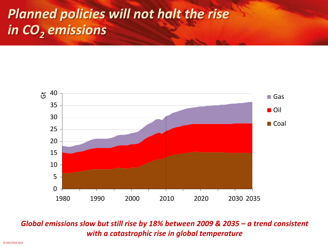## *Planned policies will not halt the rise in CO<sup>2</sup> emissions*



#### *Global emissions slow but still rise by 18% between 2009 & 2035 - a trend consistent with a catastrophic rise in global temperature*

© OECD/IEA 2011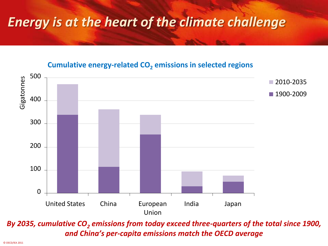### *Energy is at the heart of the climate challenge*



#### **Cumulative energy-related CO<sup>2</sup> emissions in selected regions**

*By 2035, cumulative CO<sup>2</sup> emissions from today exceed three-quarters of the total since 1900, and China's per-capita emissions match the OECD average*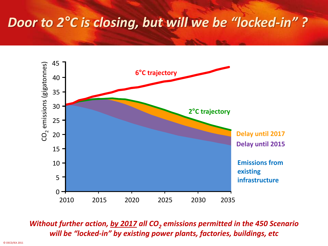#### *Door to 2°C is closing, but will we be "locked-in" ?*



#### *Without further action, by 2017 all CO<sup>2</sup> emissions permitted in the 450 Scenario will be "locked-in" by existing power plants, factories, buildings, etc*

© OECD/IEA 2011